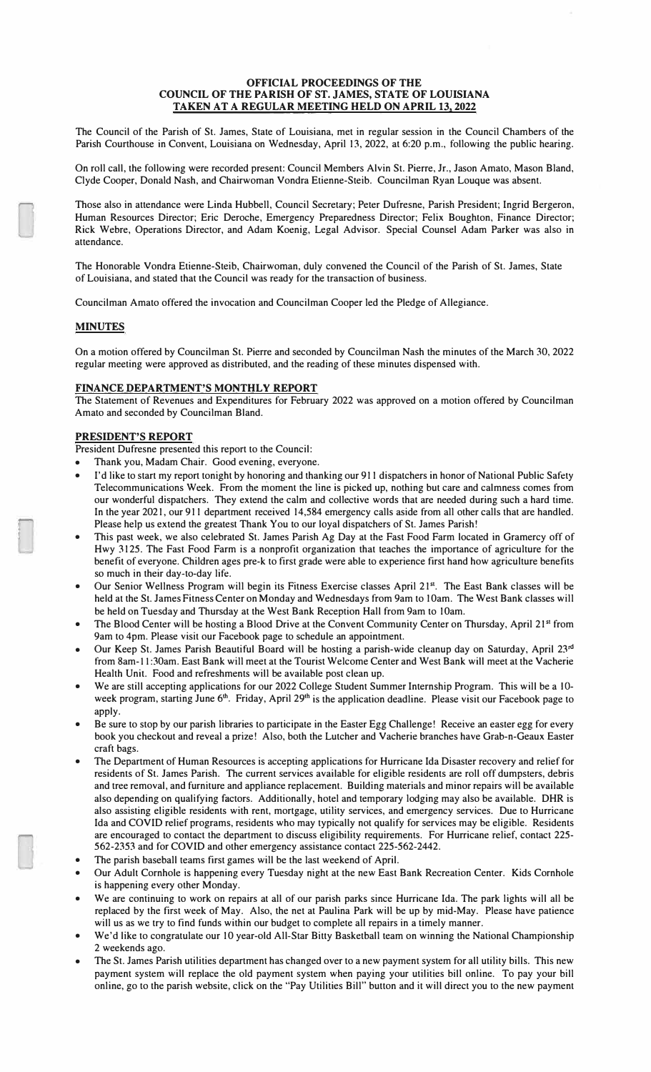#### **OFFICIAL PROCEEDINGS OF THE COUNCIL OF THE PARISH OF ST. JAMES, STATE OF LOUISIANA TAKEN AT A REGULAR MEETING HELD ON APRIL 13, 2022**

The Council of the Parish of St. James, State of Louisiana, met in regular session in the Council Chambers of the Parish Courthouse in Convent, Louisiana on Wednesday, April 13, 2022, at 6:20 p.m., following the public hearing.

On roll call, the following were recorded present: Council Members Alvin St. Pierre, Jr., Jason Amato, Mason Bland, Clyde Cooper, Donald Nash, and Chairwoman Vondra Etienne-Steib. Councilman Ryan Louque was absent.

Those also in attendance were Linda Hubbell, Council Secretary; Peter Dufresne, Parish President; Ingrid Bergeron, Human Resources Director; Eric Deroche, Emergency Preparedness Director; Felix Boughton, Finance Director; Rick Webre, Operations Director, and Adam Koenig, Legal Advisor. Special Counsel Adam Parker was also in attendance.

The Honorable Vondra Etienne-Steib, Chairwoman, duly convened the Council of the Parish of St. James, State of Louisiana, and stated that the Council was ready for the transaction of business.

Councilman Amato offered the invocation and Councilman Cooper led the Pledge of Allegiance.

### **MINUTES**

On a motion offered by Councilman St. Pierre and seconded by Councilman Nash the minutes of the March 30, 2022 regular meeting were approved as distributed, and the reading of these minutes dispensed with.

### **FINANCE DEPARTMENT'S MONTHLY REPORT**

The Statement of Revenues and Expenditures for February 2022 was approved on a motion offered by Councilman Amato and seconded by Councilman Bland.

# **PRESIDENT'S REPORT**

President Dufresne presented this report to the Council:

- Thank you, Madam Chair. Good evening, everyone.
- I'd like to start my report tonight by honoring and thanking our 911 dispatchers in honor of National Public Safety Telecommunications Week. From the moment the line is picked up, nothing but care and calmness comes from our wonderful dispatchers. They extend the calm and collective words that are needed during such a hard time. In the year 2021, our 911 department received 14,584 emergency calls aside from all other calls that are handled. Please help us extend the greatest Thank You to our loyal dispatchers of St. James Parish!
- This past week, we also celebrated St. James Parish Ag Day at the Fast Food Farm located in Gramercy off of Hwy 3125. The Fast Food Farm is a nonprofit organization that teaches the importance of agriculture for the benefit of everyone. Children ages pre-k to first grade were able to experience first hand how agriculture benefits so much in their day-to-day life.
- Our Senior Wellness Program will begin its Fitness Exercise classes April 21**st .** The East Bank classes will be held at the St. James Fitness Center on Monday and Wednesdays from 9am to 10am. The West Bank classes will be held on Tuesday and Thursday at the West Bank Reception Hall from 9am to 10am.
- The Blood Center will be hosting a Blood Drive at the Convent Community Center on Thursday, April 21**<sup>s</sup><sup>t</sup>**from 9am to 4pm. Please visit our Facebook page to schedule an appointment.
- Our Keep St. James Parish Beautiful Board will be hosting a parish-wide cleanup day on Saturday, April 23**rd**  from Sam-I I :30am. East Bank will meet at the Tourist Welcome Center and West Bank will meet at the Vacherie Health Unit. Food and refreshments will be available post clean up.
- We are still accepting applications for our 2022 College Student Summer Internship Program. This will be a JOweek program, starting June 6<sup>th</sup>. Friday, April 29<sup>th</sup> is the application deadline. Please visit our Facebook page to apply.
- Be sure to stop by our parish libraries to participate in the Easter Egg Challenge! Receive an easter egg for every book you checkout and reveal a prize! Also, both the Lutcher and Vacherie branches have Grab-n-Geaux Easter craft bags.
- The Department of Human Resources is accepting applications for Hurricane Ida Disaster recovery and relief for residents of St. James Parish. The current services available for eligible residents are roll off dumpsters, debris and tree removal, and furniture and appliance replacement. Building materials and minor repairs will be available also depending on qualifying factors. Additionally, hotel and temporary lodging may also be available. OHR is also assisting eligible residents with rent, mortgage, utility services, and emergency services. Due to Hurricane Ida and COVID relief programs, residents who may typically not qualify for services may be eligible. Residents are encouraged to contact the department to discuss eligibility requirements. For Hurricane relief, contact 225- 562-2353 and for COVID and other emergency assistance contact 225-562-2442.
- The parish baseball teams first games will be the last weekend of April.
- Our Adult Cornhole is happening every Tuesday night at the new East Bank Recreation Center. Kids Cornhole is happening every other Monday.
- We are continuing to work on repairs at all of our parish parks since Hurricane Ida. The park lights will all be replaced by the first week of May. Also, the net at Paulina Park will be up by mid-May. Please have patience will us as we try to find funds within our budget to complete all repairs in a timely manner.
- We'd like to congratulate our 10 year-old All-Star Bitty Basketball team on winning the National Championship 2 weekends ago.
- The St. James Parish utilities department has changed over to a new payment system for all utility bills. This new payment system will replace the old payment system when paying your utilities bill online. To pay your bill online, go to the parish website, click on the "Pay Utilities Bill" button and it will direct you to the new payment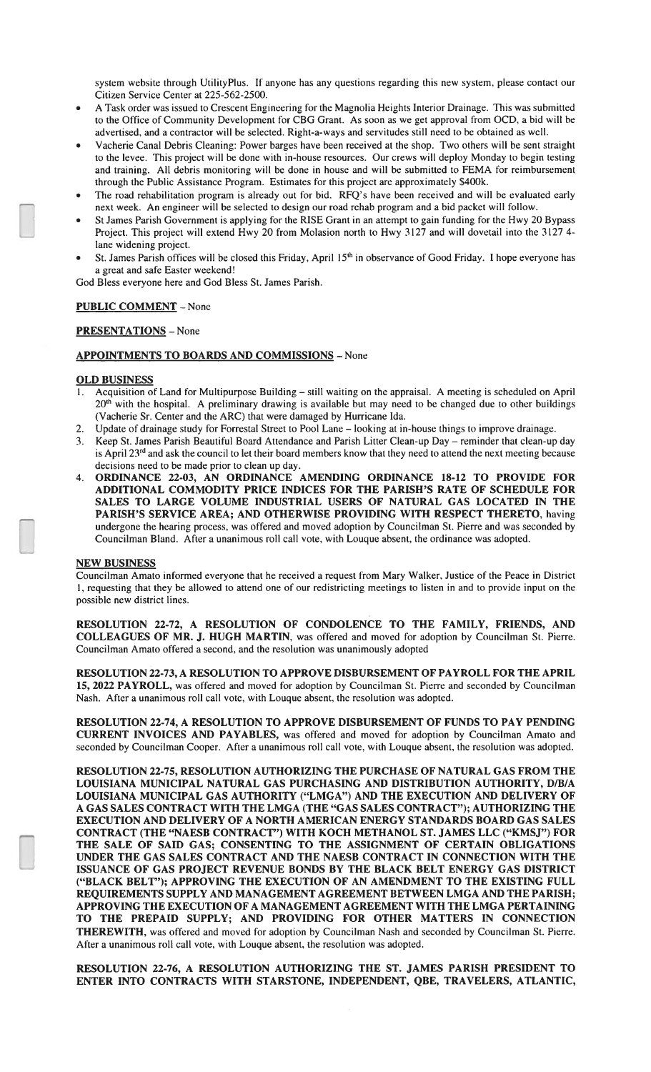system website through UtilityPlus. If anyone has any questions regarding this new system, please contact our Citizen Service Center at 225-562-2500.

- A Task order was issued to Crescent Engineering for the Magnolia Heights Interior Drainage. This was submitted to the Office of Community Development for CBG Grant. As soon as we get approval from OCD, a bid will be advertised, and a contractor will be selected. Right-a-ways and servitudes still need to be obtained as well.
- Vacherie Canal Debris Cleaning: Power barges have been received at the shop. Two others will be sent straight to the levee. This project will be done with in-house resources. Our crews will deploy Monday to begin testing and training. All debris monitoring will be done in house and will be submitted to FEMA for reimbursement through the Public Assistance Program. Estimates for this project are approximately \$400k.
- The road rehabilitation program is already out for bid. RFQ's have been received and will be evaluated early next week. An engineer will be selected to design our road rehab program and a bid packet will follow.
- St James Parish Government is applying for the RISE Grant in an attempt to gain funding for the Hwy 20 Bypass Project. This project will extend Hwy 20 from Molasion north to Hwy 3127 and will dovetail into the 3127 4lane widening project.
- St. James Parish offices will be closed this Friday, April 15<sup>th</sup> in observance of Good Friday. I hope everyone has a great and safe Easter weekend!

God Bless everyone here and God Bless St. James Parish.

# **PUBLIC COMMENT** - None

### PRESENTATIONS - None

## **APPOINTMENTS TO BOARDS AND COMMISSIONS - None**

### **OLD BUSINESS**

- Acquisition of Land for Multipurpose Building still waiting on the appraisal. A meeting is scheduled on April  $20<sup>th</sup>$  with the hospital. A preliminary drawing is available but may need to be changed due to other buildings (Vacherie Sr. Center and the ARC) that were damaged by Hurricane Ida.
- Update of drainage study for Forrestal Street to Pool Lane looking at in-house things to improve drainage.
- 3. Keep St. James Parish Beautiful Board Attendance and Parish Litter Clean-up Day reminder that clean-up day is April  $23<sup>rd</sup>$  and ask the council to let their board members know that they need to attend the next meeting because decisions need to be made prior to clean up day.
- 4. ORDINANCE 22-03, AN ORDINANCE AMENDING ORDINANCE 18-12 TO PROVIDE FOR ADDITIONAL COMMODITY PRICE INDICES FOR THE PARISH'S RATE OF SCHEDULE FOR SALES TO LARGE VOLUME INDUSTRIAL USERS OF NATURAL GAS LOCATED IN THE PARISH'S SERVICE AREA; AND OTHERWISE PROVIDING WITH RESPECT THERETO, having undergone the hearing process, was offered and moved adoption by Councilman St. Pierre and was seconded by Councilman Bland. After a unanimous roll call vote, with Louque absent, the ordinance was adopted.

### **NEW BUSINESS**

Councilman Amato informed everyone that he received a request from Mary Walker, Justice of the Peace in District 1, requesting that they be allowed to attend one of our redistricting meetings to listen in and to provide input on the possible new district lines.

RESOLUTION 22-72, A RESOLUTION OF CONDOLENCE TO THE FAMILY, FRIENDS, AND COLLEAGUES OF MR. J. HUGH MARTIN, was offered and moved for adoption by Councilman St. Pierre. Councilman Amato offered a second, and the resolution was unanimously adopted

RESOLUTION 22-73, A RESOLUTION TO APPROVE DISBURSEMENT OF PAYROLL FOR THE APRIL 15, 2022 PAYROLL, was offered and moved for adoption by Councilman St. Pierre and seconded by Councilman Nash. After a unanimous roll call vote, with Louque absent, the resolution was adopted.

RESOLUTION 22-74, A RESOLUTION TO APPROVE DISBURSEMENT OF FUNDS TO PAY PENDING CURRENT INVOICES AND PAYABLES, was offered and moved for adoption by Councilman Amato and seconded by Councilman Cooper. After a unanimous roll call vote, with Louque absent, the resolution was adopted.

RESOLUTION 22-75, RESOLUTION AUTHORIZING THE PURCHASE OF NATURAL GAS FROM THE LOUISIANA MUNICIPAL NATURAL GAS PURCHASING AND DISTRIBUTION AUTHORITY, D/B/A LOUISIANA MUNICIPAL GAS AUTHORITY ("LMGA") AND THE EXECUTION AND DELIVERY OF A GAS SALES CONTRACT WITH THE LMGA (THE "GAS SALES CONTRACT"); AUTHORIZING THE EXECUTION AND DELIVERY OF A NORTH AMERICAN ENERGY STANDARDS BOARD GAS SALES CONTRACT (THE "NAESB CONTRACT") WITH KOCH METHANOL ST. JAMES LLC ("KMSJ") FOR THE SALE OF SAID GAS; CONSENTING TO THE ASSIGNMENT OF CERTAIN OBLIGATIONS UNDER THE GAS SALES CONTRACT AND THE NAESB CONTRACT IN CONNECTION WITH THE ISSUANCE OF GAS PROJECT REVENUE BONDS BY THE BLACK BELT ENERGY GAS DISTRICT ("BLACK BELT"); APPROVING THE EXECUTION OF AN AMENDMENT TO THE EXISTING FULL REQUIREMENTS SUPPLY AND MANAGEMENT AGREEMENT BETWEEN LMGA AND THE PARISH; APPROVING THE EXECUTION OF A MANAGEMENT AGREEMENT WITH THE LMGA PERTAINING TO THE PREPAID SUPPLY; AND PROVIDING FOR OTHER MATTERS IN CONNECTION THEREWITH, was offered and moved for adoption by Councilman Nash and seconded by Councilman St. Pierre. After a unanimous roll call vote, with Louque absent, the resolution was adopted.

RESOLUTION 22-76, A RESOLUTION AUTHORIZING THE ST. JAMES PARISH PRESIDENT TO ENTER INTO CONTRACTS WITH STARSTONE, INDEPENDENT, QBE, TRAVELERS, ATLANTIC,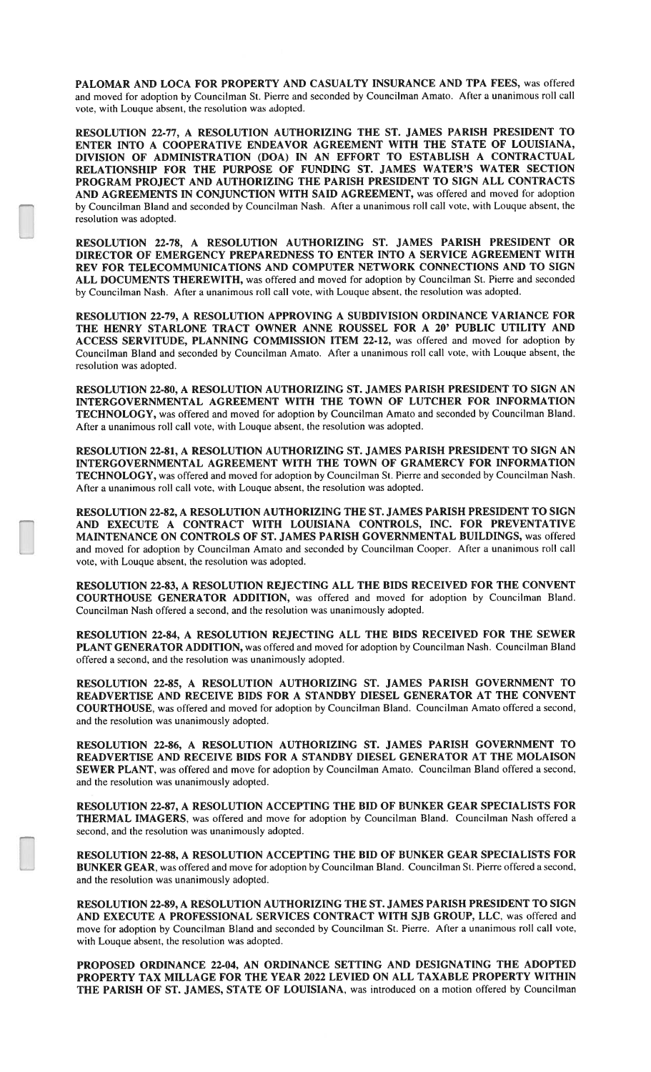PALOMAR AND LOCA FOR PROPERTY AND CASUALTY INSURANCE AND TPA FEES, was offered and moved for adoption by Councilman St. Pierre and seconded by Councilman Amato. After a unanimous roll call vote, with Louque absent, the resolution was adopted.

RESOLUTION 22-77, A RESOLUTION AUTHORIZING THE ST. JAMES PARISH PRESIDENT TO ENTER INTO A COOPERATIVE ENDEAVOR AGREEMENT WITH THE STATE OF LOUISIANA, DIVISION OF ADMINISTRATION (DOA) IN AN EFFORT TO ESTABLISH A CONTRACTUAL RELATIONSHIP FOR THE PURPOSE OF FUNDING ST. JAMES WATER'S WATER SECTION PROGRAM PROJECT AND AUTHORIZING THE PARISH PRESIDENT TO SIGN ALL CONTRACTS AND AGREEMENTS IN CONJUNCTION WITH SAID AGREEMENT, was offered and moved for adoption by Councilman Bland and seconded by Councilman Nash. After a unanimous roll call vote, with Louque absent, the resolution was adopted.

RESOLUTION 22-78, A RESOLUTION AUTHORIZING ST. JAMES PARISH PRESIDENT OR DIRECTOR OF EMERGENCY PREPAREDNESS TO ENTER INTO A SERVICE AGREEMENT WITH REV FOR TELECOMMUNICATIONS AND COMPUTER NETWORK CONNECTIONS AND TO SIGN ALL DOCUMENTS THEREWITH, was offered and moved for adoption by Councilman St. Pierre and seconded by Councilman Nash. After a unanimous roll call vote, with Louque absent, the resolution was adopted.

RESOLUTION 22-79, A RESOLUTION APPROVING A SUBDIVISION ORDINANCE VARIANCE FOR THE HENRY STARLONE TRACT OWNER ANNE ROUSSEL FOR A 20' PUBLIC UTILITY AND ACCESS SERVITUDE, PLANNING COMMISSION ITEM 22-12, was offered and moved for adoption by Councilman Bland and seconded by Councilman Amato. After a unanimous roll call vote, with Louque absent, the resolution was adopted.

RESOLUTION 22-80, A RESOLUTION AUTHORIZING ST. JAMES PARISH PRESIDENT TO SIGN AN INTERGOVERNMENTAL AGREEMENT WITH THE TOWN OF LUTCHER FOR INFORMATION TECHNOLOGY, was offered and moved for adoption by Councilman Amato and seconded by Councilman Bland. After a unanimous roll call vote, with Louque absent, the resolution was adopted.

RESOLUTION 22-81, A RESOLUTION AUTHORIZING ST. JAMES PARISH PRESIDENT TO SIGN AN INTERGOVERNMENTAL AGREEMENT WITH THE TOWN OF GRAMERCY FOR INFORMATION TECHNOLOGY, was offered and moved for adoption by Councilman St. Pierre and seconded by Councilman Nash. After a unanimous roll call vote, with Louque absent, the resolution was adopted.

RESOLUTION 22-82, A RESOLUTION AUTHORIZING THE ST. JAMES PARISH PRESIDENT TO SIGN AND EXECUTE A CONTRACT WITH LOUISIANA CONTROLS, INC. FOR PREVENTATIVE MAINTENANCE ON CONTROLS OF ST. JAMES PARISH GOVERNMENTAL BUILDINGS, was offered and moved for adoption by Councilman Amato and seconded by Councilman Cooper. After a unanimous roll call vote, with Louque absent, the resolution was adopted.

RESOLUTION 22-83, A RESOLUTION REJECTING ALL THE BIDS RECEIVED FOR THE CONVENT COURTHOUSE GENERATOR ADDITION, was offered and moved for adoption by Councilman Bland. Councilman Nash offered a second, and the resolution was unanimously adopted.

RESOLUTION 22-84, A RESOLUTION REJECTING ALL THE BIDS RECEIVED FOR THE SEWER PLANT GENERATOR ADDITION, was offered and moved for adoption by Councilman Nash. Councilman Bland offered a second, and the resolution was unanimously adopted.

RESOLUTION 22-85, A RESOLUTION AUTHORIZING ST. JAMES PARISH GOVERNMENT TO READVERTISE AND RECEIVE BIDS FOR A STANDBY DIESEL GENERATOR AT THE CONVENT COURTHOUSE, was offered and moved for adoption by Councilman Bland. Councilman Amato offered a second, and the resolution was unanimously adopted.

RESOLUTION 22-86, A RESOLUTION AUTHORIZING ST. JAMES PARISH GOVERNMENT TO READVERTISE AND RECEIVE BIDS FOR A STANDBY DIESEL GENERATOR AT THE MOLAISON SEWER PLANT, was offered and move for adoption by Councilman Amato. Councilman Bland offered a second, and the resolution was unanimously adopted.

RESOLUTION 22-87, A RESOLUTION ACCEPTING THE BID OF BUNKER GEAR SPECIALISTS FOR THERMAL IMAGERS, was offered and move for adoption by Councilman Bland. Councilman Nash offered a second, and the resolution was unanimously adopted.

RESOLUTION 22-88, A RESOLUTION ACCEPTING THE BID OF BUNKER GEAR SPECIALISTS FOR BUNKER GEAR, was offered and move for adoption by Councilman Bland. Councilman St. Pierre offered a second, and the resolution was unanimously adopted.

RESOLUTION 22-89, A RESOLUTION AUTHORIZING THE ST. JAMES PARISH PRESIDENT TO SIGN AND EXECUTE A PROFESSIONAL SERVICES CONTRACT WITH SJB GROUP, LLC, was offered and move for adoption by Councilman Bland and seconded by Councilman St. Pierre. After a unanimous roll call vote, with Louque absent, the resolution was adopted.

PROPOSED ORDINANCE 22-04, AN ORDINANCE SETTING AND DESIGNATING THE ADOPTED PROPERTY TAX MILLAGE FOR THE YEAR 2022 LEVIED ON ALL TAXABLE PROPERTY WITHIN THE PARISH OF ST. JAMES, STATE OF LOUISIANA, was introduced on a motion offered by Councilman